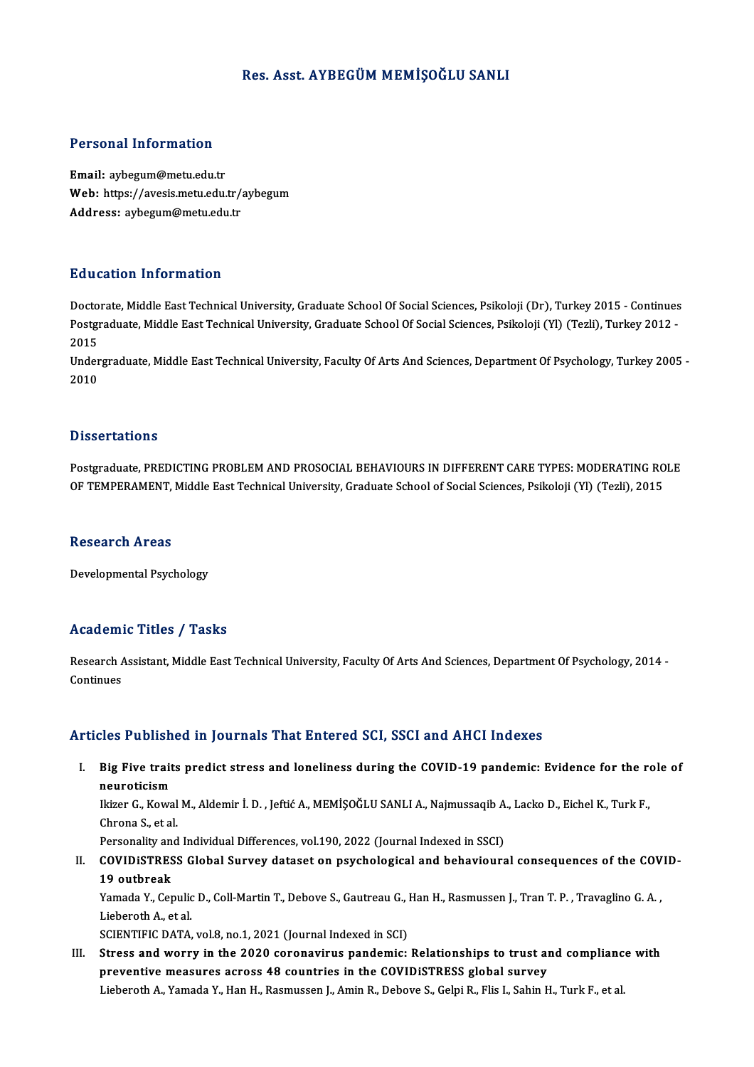### Res. Asst. AYBEGÜM MEMİŞOĞLU SANLI

### Personal Information

Email: aybegum@metu.edu.tr r oroonar meers macron<br>Email: aybegum@metu.edu.tr<br>Web: https://avesis.metu.edu.tr/aybegum Email: aybegum@metu.edu.tr<br>Web: https://avesis.metu.edu.tr/<br>Address: aybegum@metu.edu.tr Address: aybegum@metu.edu.tr<br>Education Information

Doctorate, Middle East Technical University, Graduate School Of Social Sciences, Psikoloji (Dr), Turkey 2015 - Continues Pu u cutron Timon inutron<br>Doctorate, Middle East Technical University, Graduate School Of Social Sciences, Psikoloji (Dr), Turkey 2015 - Continues<br>Postgraduate, Middle East Technical University, Graduate School Of Social S Docto<br>Postgi<br>2015<br>Under Postgraduate, Middle East Technical University, Graduate School Of Social Sciences, Psikoloji (Yl) (Tezli), Turkey 2012 -<br>2015<br>Undergraduate, Middle East Technical University, Faculty Of Arts And Sciences, Department Of Ps

2015<br>Undergraduate, Middle East Technical University, Faculty Of Arts And Sciences, Department Of Psychology, Turkey 2005 -<br>2010

### **Dissertations**

Dissertations<br>Postgraduate, PREDICTING PROBLEM AND PROSOCIAL BEHAVIOURS IN DIFFERENT CARE TYPES: MODERATING ROLE<br>OF TEMPERAMENT, Middle Fest Technical University, Creduate School of Secial Sciences, Beikeleij (VI) (Tegli), D'ISSOI LATISIIS<br>Postgraduate, PREDICTING PROBLEM AND PROSOCIAL BEHAVIOURS IN DIFFERENT CARE TYPES: MODERATING RO<br>OF TEMPERAMENT, Middle East Technical University, Graduate School of Social Sciences, Psikoloji (Yl) (Tezli) OF TEMPERAMENT, Middle East Technical University, Graduate School of Social Sciences, Psikoloji (Yl) (Tezli), 2015<br>Research Areas

Developmental Psychology

### Academic Titles / Tasks

Academic Titles / Tasks<br>Research Assistant, Middle East Technical University, Faculty Of Arts And Sciences, Department Of Psychology, 2014 -<br>Centinues Research A<br>Continues

# Articles Published in Journals That Entered SCI, SSCI and AHCI Indexes

rticles Published in Journals That Entered SCI, SSCI and AHCI Indexes<br>I. Big Five traits predict stress and loneliness during the COVID-19 pandemic: Evidence for the role of<br>Revestigion neuroticism<br>Big Five trait<br>Diger C. Kowa Big Five traits predict stress and loneliness during the COVID-19 pandemic: Evidence for the renderation<br>neuroticism<br>Ikizer G., Kowal M., Aldemir İ. D. , Jeftić A., MEMİŞOĞLU SANLI A., Najmussaqib A., Lacko D., Eichel K.,

neuroticism<br>Ikizer G., Kowal<br>Chrona S., et al.<br>Personality and Ikizer G., Kowal M., Aldemir İ. D. , Jeftić A., MEMİŞOĞLU SANLI A., Najmussaqib A<br>Chrona S., et al.<br>Personality and Individual Differences, vol.190, 2022 (Journal Indexed in SSCI)<br>COVIDiSTRESS Clobal Survoy dataset an nave

Personality and Individual Differences, vol.190, 2022 (Journal Indexed in SSCI)

Chrona S., et al.<br>Personality and Individual Differences, vol.190, 2022 (Journal Indexed in SSCI)<br>II. COVIDiSTRESS Global Survey dataset on psychological and behavioural consequences of the COVID-<br>19 outbreak COVIDISTRESS Global Survey dataset on psychological and behavioural consequences of the COV<br>19 outbreak<br>Yamada Y., Cepulic D., Coll-Martin T., Debove S., Gautreau G., Han H., Rasmussen J., Tran T. P. , Travaglino G.A. ,<br>Li

19 outbreak<br>Yamada Y., Cepulic<br>Lieberoth A., et al.<br>SCIENTIEIC DATA Yamada Y., Cepulic D., Coll-Martin T., Debove S., Gautreau G., J<br>Lieberoth A., et al.<br>SCIENTIFIC DATA, vol.8, no.1, 2021 (Journal Indexed in SCI)<br>Strees and worry in the 2020 coronayinus pandemia:

Lieberoth A., et al.<br>SCIENTIFIC DATA, vol.8, no.1, 2021 (Journal Indexed in SCI)<br>III. Stress and worry in the 2020 coronavirus pandemic: Relationships to trust and compliance with<br>nuclear processive processes are also coun SCIENTIFIC DATA, vol.8, no.1, 2021 (Journal Indexed in SCI)<br>Stress and worry in the 2020 coronavirus pandemic: Relationships to trust an<br>preventive measures across 48 countries in the COVIDiSTRESS global survey<br>Lishansth A preventive measures across 48 countries in the COVIDISTRESS global survey<br>Lieberoth A., Yamada Y., Han H., Rasmussen J., Amin R., Debove S., Gelpi R., Flis I., Sahin H., Turk F., et al.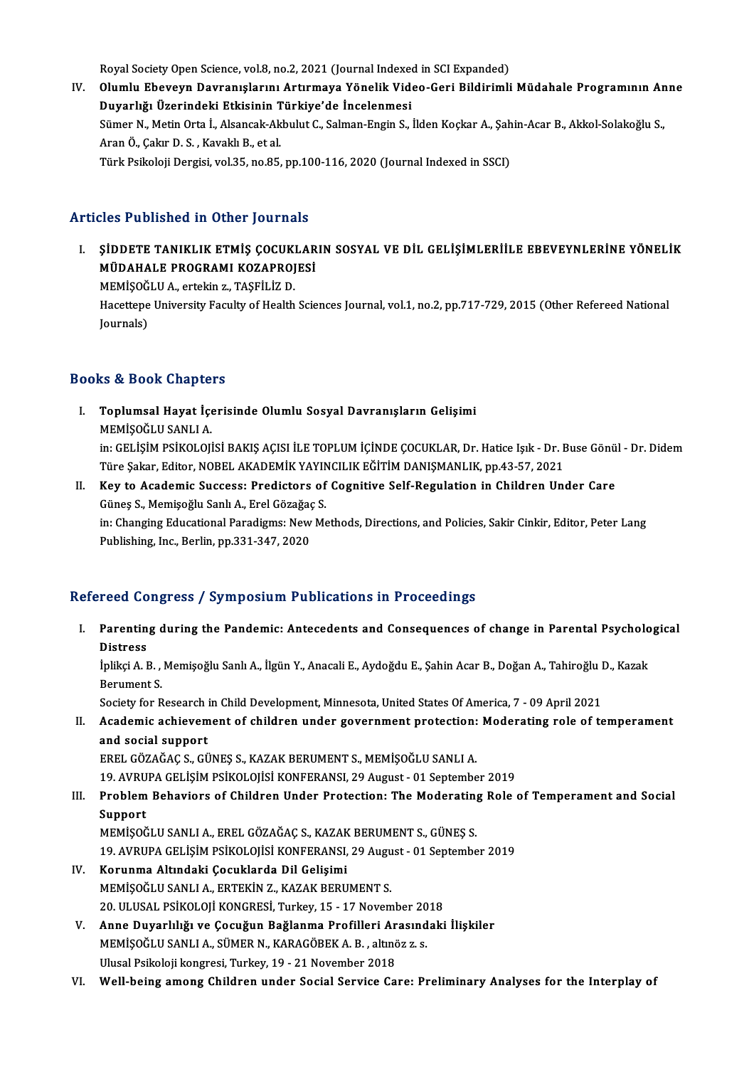Royal Society Open Science, vol.8, no.2, 2021 (Journal Indexed in SCI Expanded)<br>Olumbu Eheyevn Dovranislarını Artırmaya Vänelik Video Ceri Bildirimli

IV. Olumlu Ebeveyn Davranışlarını Artırmaya Yönelik Video-Geri Bildirimli Müdahale Programının Anne<br>Duyarlığı Üzerindeki Etkisinin Türkiye'de İncelenmesi Royal Society Open Science, vol.8, no.2, 2021 (Journal Indexed<br>Olumlu Ebeveyn Davranışlarını Artırmaya Yönelik Vide<br>Duyarlığı Üzerindeki Etkisinin Türkiye'de İncelenmesi<br>Sümer N. Metin Orta İ. Alangak Althulut C. Salman En Olumlu Ebeveyn Davranışlarını Artırmaya Yönelik Video-Geri Bildirimli Müdahale Programının An<br>Duyarlığı Üzerindeki Etkisinin Türkiye'de İncelenmesi<br>Sümer N., Metin Orta İ., Alsancak-Akbulut C., Salman-Engin S., İlden Koçka Duyarlığı Üzerindeki Etkisinin T<br>Sümer N., Metin Orta İ., Alsancak-Ak<br>Aran Ö., Çakır D. S. , Kavaklı B., et al.<br>Türk Beikeleji Dergisi vel 35. ne 85. Sümer N., Metin Orta İ., Alsancak-Akbulut C., Salman-Engin S., İlden Koçkar A., Şah<br>Aran Ö., Çakır D. S. , Kavaklı B., et al.<br>Türk Psikoloji Dergisi, vol.35, no.85, pp.100-116, 2020 (Journal Indexed in SSCI) Türk Psikoloji Dergisi, vol.35, no.85, pp.100-116, 2020 (Journal Indexed in SSCI)<br>Articles Published in Other Journals

I. ŞİDDETE TANIKLIK ETMİŞ ÇOCUKLARIN SOSYAL VE DİL GELİŞİMLERİİLE EBEVEYNLERİNE YÖNELİK MÜDAHALE PROGRAMI KOZAPROJESİ<br>MÜDAHALE PROGRAMI KOZAPROJESİ<br>MEMİSOČLU A. erfekir z. TASFİLİZ D ŞİDDETE TANIKLIK ETMİŞ ÇOCUKI<br>MÜDAHALE PROGRAMI KOZAPROJ<br>MEMİŞOĞLU A., ertekin z., TAŞFİLİZ D.<br>Hassitana University Fasylty of Haslib Hacettepe University Faculty of Health Sciences Journal, vol.1, no.2, pp.717-729, 2015 (Other Refereed National Journals) MEMİŞOĞLU A., ertekin z., TAŞFİLİZ D.

### Books&Book Chapters

- OOks & Book Chapters<br>I. Toplumsal Hayat İçerisinde Olumlu Sosyal Davranışların Gelişimi<br>MEMİSOĞLU SANLLA MEMIŞOSA SALAPTOR<br>Toplumsal Hayat İçe<br>MEMİŞOĞLU SANLI A.<br>in: CELİSİM BSİKOLOJİ MEMİŞOĞLU SANLI A.<br>in: GELİŞİM PSİKOLOJİSİ BAKIŞ AÇISI İLE TOPLUM İÇİNDE ÇOCUKLAR, Dr. Hatice Işık - Dr. Buse Gönül - Dr. Didem MEMİŞOĞLU SANLI A.<br>in: GELİŞİM PSİKOLOJİSİ BAKIŞ AÇISI İLE TOPLUM İÇİNDE ÇOCUKLAR, Dr. Hatice Işık - Dr. E<br>Türe Şakar, Editor, NOBEL AKADEMİK YAYINCILIK EĞİTİM DANIŞMANLIK, pp.43-57, 2021<br>Kay ta Asadamia Sussassı Pradistar
- II. Key to Academic Success: Predictors of Cognitive Self-Regulation in Children Under Care Türe Şakar, Editor, NOBEL AKADEMİK YAYIN<br>Key to Academic Success: Predictors of<br>Güneş S., Memişoğlu Sanlı A., Erel Gözağaç S.<br>in: Changing Educational Baradigma: Now Me in: Changing Educational Paradigms: New Methods, Directions, and Policies, Sakir Cinkir, Editor, Peter Lang<br>Publishing, Inc., Berlin, pp.331-347, 2020 Güneş S., Memişoğlu Sanlı A., Erel Gözağaç S.

### Refereed Congress / Symposium Publications in Proceedings

efereed Congress / Symposium Publications in Proceedings<br>I. Parenting during the Pandemic: Antecedents and Consequences of change in Parental Psychological<br>Ristress Parentin<br>Distress<br>Inlikei A. I Parenting during the Pandemic: Antecedents and Consequences of change in Parental Psycholo<br>Distress<br>İplikçi A. B. , Memişoğlu Sanlı A., İlgün Y., Anacali E., Aydoğdu E., Şahin Acar B., Doğan A., Tahiroğlu D., Kazak<br>Perumen

Distress<br>İplikçi A. B. , .<br>Berument S. İplikçi A. B., Memişoğlu Sanlı A., İlgün Y., Anacali E., Aydoğdu E., Şahin Acar B., Doğan A., Tahiroğlu D., Kazak

# Berument S.<br>Society for Research in Child Development, Minnesota, United States Of America, 7 - 09 April 2021<br>II. Academic achievement of children under government protection: Moderating role of temperament<br>and social sunn Society for Research in Child Development, Minnesota, United States Of America, 7 - 09 April 2021<br>Academic achievement of children under government protection: Moderating role of to<br>and social support<br>EREL GÖZAĞAC S., GÜNE Academic achievement of children under government protection:<br>and social support<br>EREL GÖZAĞAÇ S., GÜNEŞ S., KAZAK BERUMENT S., MEMİŞOĞLU SANLI A.<br>19. AVPUPA CELİSİM PSİKOLOJİSİ KONEERANSI, 29. Aygust - 91. Sontamba

19.AVRUPAGELİŞİMPSİKOLOJİSİKONFERANSI,29August -01 September 2019

## EREL GÖZAĞAÇ S., GÜNEŞ S., KAZAK BERUMENT S., MEMİŞOĞLU SANLI A.<br>19. AVRUPA GELİŞİM PSİKOLOJİSİ KONFERANSI, 29 August - 01 September 2019<br>III. Problem Behaviors of Children Under Protection: The Moderating Role of Temp 19. AVRU<br><mark>Problem</mark><br>Support<br>MEMISOČ Problem Behaviors of Children Under Protection: The Moderatin<sub>i</sub><br>Support<br>MEMİŞOĞLU SANLI A., EREL GÖZAĞAÇ S., KAZAK BERUMENT S., GÜNEŞ S.<br>19. AVPUPA CELİSİM PSİKOLOJİSİ KONEERANSL 20 Aygust -01 Sontamba Support<br>MEMİŞOĞLU SANLI A., EREL GÖZAĞAÇ S., KAZAK BERUMENT S., GÜNEŞ S.<br>19. AVRUPA GELİŞİM PSİKOLOJİSİ KONFERANSI, 29 August - 01 September 2019<br>Konunma Altındaki Casuklarda Dil Calisimi

- MEMİŞOĞLU SANLI A., EREL GÖZAĞAÇ S., KAZAK<br>19. AVRUPA GELİŞİM PSİKOLOJİSİ KONFERANSI,<br>IV. Korunma Altındaki Çocuklarda Dil Gelişimi<br>MEMİSOĞLU SANLLA, ERTEKİN Z. KAZAK BERLI 19. AVRUPA GELİŞİM PSİKOLOJİSİ KONFERANSI, 29 Augu<br>**Korunma Altındaki Çocuklarda Dil Gelişimi**<br>MEMİŞOĞLU SANLI A., ERTEKİN Z., KAZAK BERUMENT S.<br>20. ULUSAL PSİKOLOJİ KONGPESİ Turkey 15., 17 Never Korunma Altındaki Çocuklarda Dil Gelişimi<br>MEMİŞOĞLU SANLI A., ERTEKİN Z., KAZAK BERUMENT S.<br>20. ULUSAL PSİKOLOJİ KONGRESİ, Turkey, 15 - 17 November 2018<br>Anna Duvanlılığı ve Çosuğun Bağlanma Prafilleri Arasındaki MEMİŞOĞLU SANLI A., ERTEKİN Z., KAZAK BERUMENT S.<br>20. ULUSAL PSİKOLOJİ KONGRESİ, Turkey, 15 - 17 November 2018<br>V. Anne Duyarlılığı ve Çocuğun Bağlanma Profilleri Arasındaki İlişkiler
- 20. ULUSAL PSİKOLOJİ KONGRESİ, Turkey, 15 17 November 20<br>Anne Duyarlılığı ve Çocuğun Bağlanma Profilleri Arasınd<br>MEMİŞOĞLU SANLI A., SÜMER N., KARAGÖBEK A. B. , altınöz z. s.<br>Ulusal Psikalaji kangresi Turkay, 19 31 Nov MEMİŞOĞLU SANLI A., SÜMER N., KARAGÖBEK A. B. , altınöz z. s.<br>Ulusal Psikoloji kongresi, Turkey, 19 - 21 November 2018
- VI. Wel -being among Children under Social Service Care: Preliminary Analyses for the Interplay of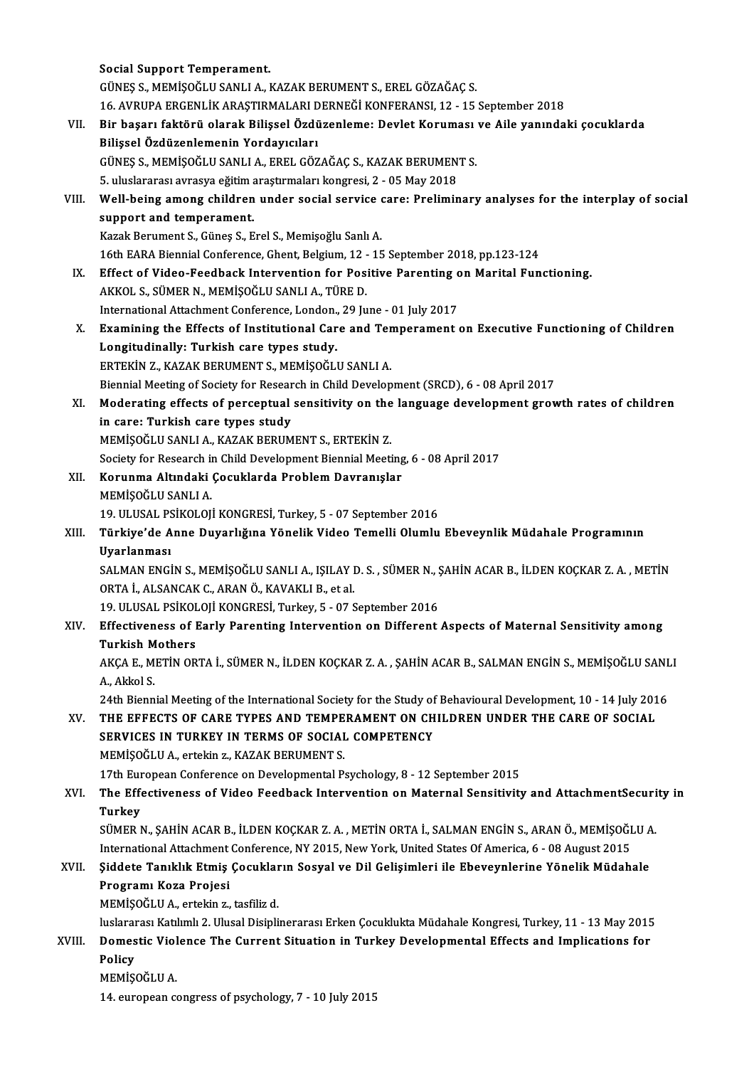|        | <b>Social Support Temperament.</b>                                                                             |
|--------|----------------------------------------------------------------------------------------------------------------|
|        | GÜNEŞ S., MEMİŞOĞLU SANLI A., KAZAK BERUMENT S., EREL GÖZAĞAÇ S.                                               |
|        | 16. AVRUPA ERGENLİK ARAŞTIRMALARI DERNEĞİ KONFERANSI, 12 - 15 September 2018                                   |
| VII.   | Bir başarı faktörü olarak Bilişsel Özdüzenleme: Devlet Koruması ve Aile yanındaki çocuklarda                   |
|        | Bilişsel Özdüzenlemenin Yordayıcıları                                                                          |
|        | GÜNEŞ S., MEMİŞOĞLU SANLI A., EREL GÖZAĞAÇ S., KAZAK BERUMENT S.                                               |
|        | 5. uluslararası avrasya eğitim araştırmaları kongresi, 2 - 05 May 2018                                         |
| VIII.  | Well-being among children under social service care: Preliminary analyses for the interplay of social          |
|        | support and temperament.                                                                                       |
|        | Kazak Berument S., Güneş S., Erel S., Memişoğlu Sanlı A.                                                       |
|        | 16th EARA Biennial Conference, Ghent, Belgium, 12 - 15 September 2018, pp.123-124                              |
| IX.    | Effect of Video-Feedback Intervention for Positive Parenting on Marital Functioning.                           |
|        | AKKOL S., SÜMER N., MEMİŞOĞLU SANLI A., TÜRE D.                                                                |
|        | International Attachment Conference, London., 29 June - 01 July 2017                                           |
| X.     | Examining the Effects of Institutional Care and Temperament on Executive Functioning of Children               |
|        | Longitudinally: Turkish care types study.<br>ERTEKİN Z., KAZAK BERUMENT S., MEMİŞOĞLU SANLI A.                 |
|        | Biennial Meeting of Society for Research in Child Development (SRCD), 6 - 08 April 2017                        |
| XI.    | Moderating effects of perceptual sensitivity on the language development growth rates of children              |
|        | in care: Turkish care types study                                                                              |
|        | MEMİŞOĞLU SANLI A., KAZAK BERUMENT S., ERTEKİN Z.                                                              |
|        | Society for Research in Child Development Biennial Meeting, 6 - 08 April 2017                                  |
| XII.   | Korunma Altındaki Çocuklarda Problem Davranışlar                                                               |
|        | MEMİŞOĞLU SANLI A.                                                                                             |
|        | 19. ULUSAL PSİKOLOJİ KONGRESİ, Turkey, 5 - 07 September 2016                                                   |
| XIII.  | Türkiye'de Anne Duyarlığına Yönelik Video Temelli Olumlu Ebeveynlik Müdahale Programının                       |
|        | Uyarlanması                                                                                                    |
|        | SALMAN ENGIN S., MEMIŞOĞLU SANLI A., IŞILAY D. S., SÜMER N., ŞAHIN ACAR B., İLDEN KOÇKAR Z. A., METIN          |
|        | ORTA İ. ALSANCAK C. ARAN Ö. KAVAKLI B. et al.                                                                  |
|        | 19. ULUSAL PSİKOLOJİ KONGRESİ, Turkey, 5 - 07 September 2016                                                   |
| XIV.   | Effectiveness of Early Parenting Intervention on Different Aspects of Maternal Sensitivity among               |
|        | <b>Turkish Mothers</b>                                                                                         |
|        | AKÇA E., METİN ORTA İ., SÜMER N., İLDEN KOÇKAR Z. A. , ŞAHİN ACAR B., SALMAN ENGİN S., MEMİŞOĞLU SANLI         |
|        | A., Akkol S.                                                                                                   |
|        | 24th Biennial Meeting of the International Society for the Study of Behavioural Development, 10 - 14 July 2016 |
| XV.    | THE EFFECTS OF CARE TYPES AND TEMPERAMENT ON CHILDREN UNDER THE CARE OF SOCIAL                                 |
|        | SERVICES IN TURKEY IN TERMS OF SOCIAL COMPETENCY                                                               |
|        | MEMİŞOĞLU A., ertekin z., KAZAK BERUMENT S.                                                                    |
|        | 17th European Conference on Developmental Psychology, 8 - 12 September 2015                                    |
| XVI.   | The Effectiveness of Video Feedback Intervention on Maternal Sensitivity and AttachmentSecurity in             |
|        | Turkey                                                                                                         |
|        | SÜMER N., ŞAHİN ACAR B., İLDEN KOÇKAR Z. A., METİN ORTA İ., SALMAN ENGİN S., ARAN Ö., MEMİŞOĞLU A.             |
|        | International Attachment Conference, NY 2015, New York, United States Of America, 6 - 08 August 2015           |
| XVII.  | Şiddete Tanıklık Etmiş Çocukların Sosyal ve Dil Gelişimleri ile Ebeveynlerine Yönelik Müdahale                 |
|        | Programı Koza Projesi                                                                                          |
|        | MEMİŞOĞLU A., ertekin z., tasfiliz d.                                                                          |
|        | luslararası Katılımlı 2. Ulusal Disiplinerarası Erken Çocuklukta Müdahale Kongresi, Turkey, 11 - 13 May 2015   |
| XVIII. | Domestic Violence The Current Situation in Turkey Developmental Effects and Implications for                   |
|        | Policy<br>MEMİŞOĞLU A.                                                                                         |
|        | 14. european congress of psychology, 7 - 10 July 2015                                                          |
|        |                                                                                                                |